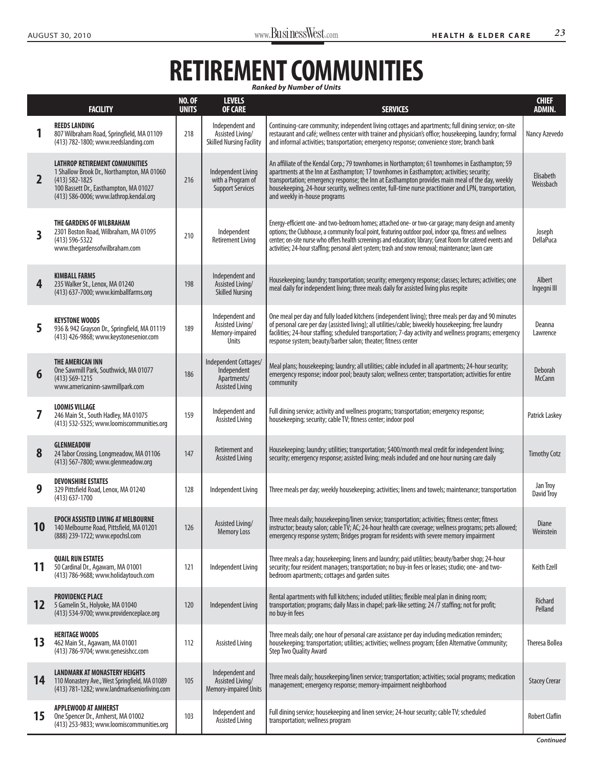## RETIREMENT COMMUNITIES

|                   | <b>FACILITY</b>                                                                                                                                                                               | <b>NO. OF</b><br><b>UNITS</b> | <b>LEVELS</b><br><b>OF CARE</b>                                               | <b>SERVICES</b>                                                                                                                                                                                                                                                                                                                                                                                                                           | <b>CHIEF</b><br><b>ADMIN.</b> |
|-------------------|-----------------------------------------------------------------------------------------------------------------------------------------------------------------------------------------------|-------------------------------|-------------------------------------------------------------------------------|-------------------------------------------------------------------------------------------------------------------------------------------------------------------------------------------------------------------------------------------------------------------------------------------------------------------------------------------------------------------------------------------------------------------------------------------|-------------------------------|
|                   | <b>REEDS LANDING</b><br>807 Wilbraham Road, Springfield, MA 01109<br>(413) 782-1800; www.reedslanding.com                                                                                     | 218                           | Independent and<br>Assisted Living/<br><b>Skilled Nursing Facility</b>        | Continuing-care community; independent living cottages and apartments; full dining service; on-site<br>restaurant and café; wellness center with trainer and physician's office; housekeeping, laundry; formal<br>and informal activities; transportation; emergency response; convenience store; branch bank                                                                                                                             | Nancy Azevedo                 |
| $\overline{2}$    | <b>LATHROP RETIREMENT COMMUNITIES</b><br>1 Shallow Brook Dr., Northampton, MA 01060<br>$(413) 582 - 1825$<br>100 Bassett Dr., Easthampton, MA 01027<br>(413) 586-0006; www.lathrop.kendal.org | 216                           | Independent Living<br>with a Program of<br><b>Support Services</b>            | An affiliate of the Kendal Corp.; 79 townhomes in Northampton; 61 townhomes in Easthampton; 59<br>apartments at the Inn at Easthampton; 17 townhomes in Easthampton; activities; security;<br>transportation; emergency response; the Inn at Easthampton provides main meal of the day, weekly<br>housekeeping, 24-hour security, wellness center, full-time nurse practitioner and LPN, transportation,<br>and weekly in-house programs  | Elisabeth<br>Weissbach        |
| 3                 | THE GARDENS OF WILBRAHAM<br>2301 Boston Road, Wilbraham, MA 01095<br>$(413) 596 - 5322$<br>www.thegardensofwilbraham.com                                                                      | 210                           | Independent<br><b>Retirement Living</b>                                       | Energy-efficient one- and two-bedroom homes; attached one- or two-car garage; many design and amenity<br>options; the Clubhouse, a community focal point, featuring outdoor pool, indoor spa, fitness and wellness<br>center; on-site nurse who offers health screenings and education; library; Great Room for catered events and<br>activities; 24-hour staffing; personal alert system; trash and snow removal; maintenance; lawn care | Joseph<br><b>DellaPuca</b>    |
| 4                 | <b>KIMBALL FARMS</b><br>235 Walker St., Lenox, MA 01240<br>(413) 637-7000; www.kimballfarms.org                                                                                               | 198                           | Independent and<br>Assisted Living/<br><b>Skilled Nursing</b>                 | Housekeeping; laundry; transportation; security; emergency response; classes; lectures; activities; one<br>meal daily for independent living; three meals daily for assisted living plus respite                                                                                                                                                                                                                                          | Albert<br>Ingegni III         |
| 5                 | <b>KEYSTONE WOODS</b><br>936 & 942 Grayson Dr., Springfield, MA 01119<br>(413) 426-9868; www.keystonesenior.com                                                                               | 189                           | Independent and<br>Assisted Living/<br>Memory-impaired<br><b>Units</b>        | One meal per day and fully loaded kitchens (independent living); three meals per day and 90 minutes<br>of personal care per day (assisted living); all utilities/cable; biweekly housekeeping; free laundry<br>facilities; 24-hour staffing; scheduled transportation; 7-day activity and wellness programs; emergency<br>response system; beauty/barber salon; theater; fitness center                                                   | Deanna<br>Lawrence            |
| 6                 | THE AMERICAN INN<br>One Sawmill Park, Southwick, MA 01077<br>$(413) 569 - 1215$<br>www.americaninn-sawmillpark.com                                                                            | 186                           | Independent Cottages/<br>Independent<br>Apartments/<br><b>Assisted Living</b> | Meal plans; housekeeping; laundry; all utilities; cable included in all apartments; 24-hour security;<br>emergency response; indoor pool; beauty salon; wellness center; transportation; activities for entire<br>community                                                                                                                                                                                                               | Deborah<br><b>McCann</b>      |
| 7                 | <b>LOOMIS VILLAGE</b><br>246 Main St., South Hadley, MA 01075<br>(413) 532-5325; www.loomiscommunities.org                                                                                    | 159                           | Independent and<br><b>Assisted Living</b>                                     | Full dining service; activity and wellness programs; transportation; emergency response;<br>housekeeping; security; cable TV; fitness center; indoor pool                                                                                                                                                                                                                                                                                 | Patrick Laskey                |
| 8                 | <b>GLENMEADOW</b><br>24 Tabor Crossing, Longmeadow, MA 01106<br>(413) 567-7800; www.glenmeadow.org                                                                                            | 147                           | Retirement and<br><b>Assisted Living</b>                                      | Housekeeping; laundry; utilities; transportation; \$400/month meal credit for independent living;<br>security; emergency response; assisted living; meals included and one hour nursing care daily                                                                                                                                                                                                                                        | <b>Timothy Cotz</b>           |
| 9                 | <b>DEVONSHIRE ESTATES</b><br>329 Pittsfield Road, Lenox, MA 01240<br>$(413)$ 637-1700                                                                                                         | 128                           | Independent Living                                                            | Three meals per day; weekly housekeeping; activities; linens and towels; maintenance; transportation                                                                                                                                                                                                                                                                                                                                      | Jan Troy<br>David Troy        |
| 10                | <b>EPOCH ASSISTED LIVING AT MELBOURNE</b><br>140 Melbourne Road, Pittsfield, MA 01201<br>(888) 239-1722; www.epochsl.com                                                                      | 126                           | Assisted Living/<br><b>Memory Loss</b>                                        | Three meals daily; housekeeping/linen service; transportation; activities; fitness center; fitness<br>instructor; beauty salon; cable TV; AC; 24-hour health care coverage; wellness programs; pets allowed;<br>emergency response system; Bridges program for residents with severe memory impairment                                                                                                                                    | Diane<br>Weinstein            |
| 11                | <b>QUAIL RUN ESTATES</b><br>50 Cardinal Dr., Agawam, MA 01001<br>(413) 786-9688; www.holidaytouch.com                                                                                         | 121                           | Independent Living                                                            | Three meals a day; housekeeping; linens and laundry; paid utilities; beauty/barber shop; 24-hour<br>security; four resident managers; transportation; no buy-in fees or leases; studio; one- and two-<br>bedroom apartments; cottages and garden suites                                                                                                                                                                                   | Keith Ezell                   |
| $12 \overline{ }$ | <b>PROVIDENCE PLACE</b><br>5 Gamelin St., Holyoke, MA 01040<br>(413) 534-9700; www.providenceplace.org                                                                                        | 120                           | Independent Living                                                            | Rental apartments with full kitchens; included utilities; flexible meal plan in dining room;<br>transportation; programs; daily Mass in chapel; park-like setting; 24 /7 staffing; not for profit;<br>no buy-in fees                                                                                                                                                                                                                      | Richard<br>Pelland            |
| 13                | <b>HERITAGE WOODS</b><br>462 Main St., Agawam, MA 01001<br>(413) 786-9704; www.genesishcc.com                                                                                                 | 112                           | <b>Assisted Living</b>                                                        | Three meals daily; one hour of personal care assistance per day including medication reminders;<br>housekeeping; transportation; utilities; activities; wellness program; Eden Alternative Community;<br>Step Two Quality Award                                                                                                                                                                                                           | Theresa Bollea                |
| 14                | <b>LANDMARK AT MONASTERY HEIGHTS</b><br>110 Monastery Ave., West Springfield, MA 01089<br>(413) 781-1282; www.landmarkseniorliving.com                                                        | 105                           | Independent and<br>Assisted Living/<br>Memory-impaired Units                  | Three meals daily; housekeeping/linen service; transportation; activities; social programs; medication<br>management; emergency response; memory-impairment neighborhood                                                                                                                                                                                                                                                                  | <b>Stacey Crerar</b>          |
| 15                | <b>APPLEWOOD AT AMHERST</b><br>One Spencer Dr., Amherst, MA 01002<br>(413) 253-9833; www.loomiscommunities.org                                                                                | 103                           | Independent and<br><b>Assisted Living</b>                                     | Full dining service; housekeeping and linen service; 24-hour security; cable TV; scheduled<br>transportation; wellness program                                                                                                                                                                                                                                                                                                            | <b>Robert Claflin</b>         |